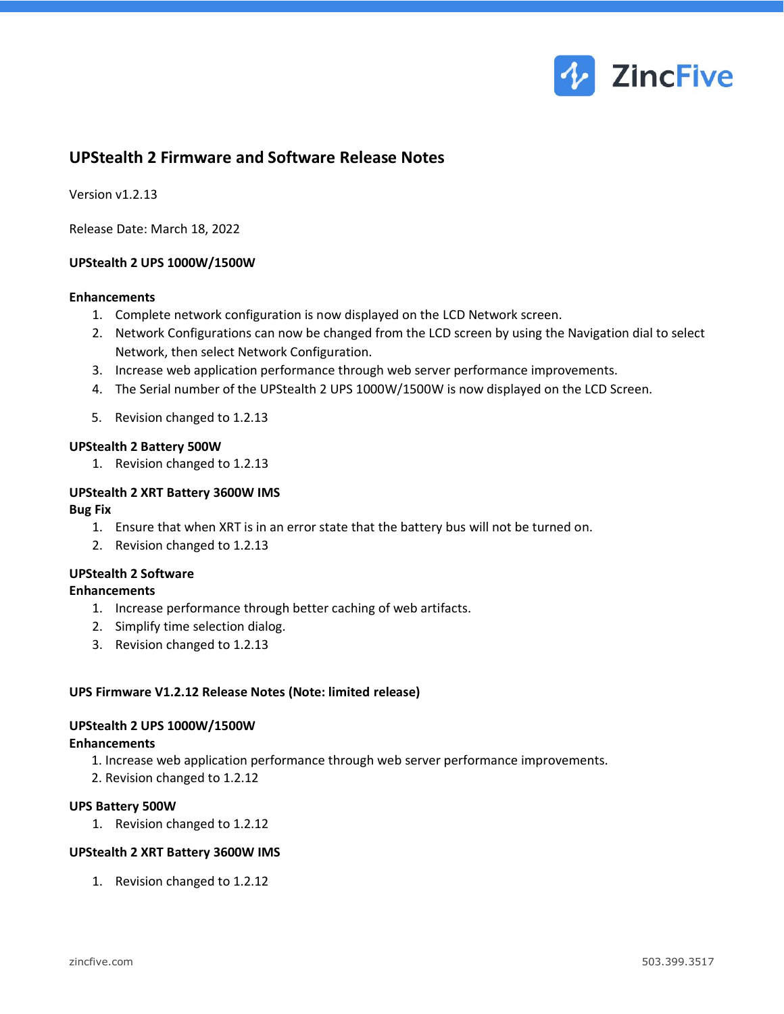

# **UPStealth 2 Firmware and Software Release Notes**

Version v1.2.13

Release Date: March 18, 2022

#### **UPStealth 2 UPS 1000W/1500W**

#### **Enhancements**

- 1. Complete network configuration is now displayed on the LCD Network screen.
- 2. Network Configurations can now be changed from the LCD screen by using the Navigation dial to select Network, then select Network Configuration.
- 3. Increase web application performance through web server performance improvements.
- 4. The Serial number of the UPStealth 2 UPS 1000W/1500W is now displayed on the LCD Screen.
- 5. Revision changed to 1.2.13

#### **UPStealth 2 Battery 500W**

1. Revision changed to 1.2.13

#### **UPStealth 2 XRT Battery 3600W IMS**

#### **Bug Fix**

- 1. Ensure that when XRT is in an error state that the battery bus will not be turned on.
- 2. Revision changed to 1.2.13

### **UPStealth 2 Software**

#### **Enhancements**

- 1. Increase performance through better caching of web artifacts.
- 2. Simplify time selection dialog.
- 3. Revision changed to 1.2.13

#### **UPS Firmware V1.2.12 Release Notes (Note: limited release)**

#### **UPStealth 2 UPS 1000W/1500W**

#### **Enhancements**

- 1. Increase web application performance through web server performance improvements.
- 2. Revision changed to 1.2.12

#### **UPS Battery 500W**

1. Revision changed to 1.2.12

#### **UPStealth 2 XRT Battery 3600W IMS**

1. Revision changed to 1.2.12